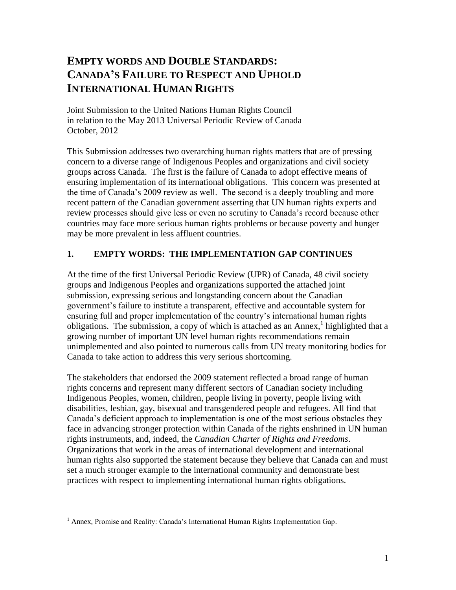# **EMPTY WORDS AND DOUBLE STANDARDS: CANADA'S FAILURE TO RESPECT AND UPHOLD INTERNATIONAL HUMAN RIGHTS**

Joint Submission to the United Nations Human Rights Council in relation to the May 2013 Universal Periodic Review of Canada October, 2012

This Submission addresses two overarching human rights matters that are of pressing concern to a diverse range of Indigenous Peoples and organizations and civil society groups across Canada. The first is the failure of Canada to adopt effective means of ensuring implementation of its international obligations. This concern was presented at the time of Canada's 2009 review as well. The second is a deeply troubling and more recent pattern of the Canadian government asserting that UN human rights experts and review processes should give less or even no scrutiny to Canada's record because other countries may face more serious human rights problems or because poverty and hunger may be more prevalent in less affluent countries.

# **1. EMPTY WORDS: THE IMPLEMENTATION GAP CONTINUES**

At the time of the first Universal Periodic Review (UPR) of Canada, 48 civil society groups and Indigenous Peoples and organizations supported the attached joint submission, expressing serious and longstanding concern about the Canadian government's failure to institute a transparent, effective and accountable system for ensuring full and proper implementation of the country's international human rights obligations. The submission, a copy of which is attached as an Annex, $\frac{1}{1}$  highlighted that a growing number of important UN level human rights recommendations remain unimplemented and also pointed to numerous calls from UN treaty monitoring bodies for Canada to take action to address this very serious shortcoming.

The stakeholders that endorsed the 2009 statement reflected a broad range of human rights concerns and represent many different sectors of Canadian society including Indigenous Peoples, women, children, people living in poverty, people living with disabilities, lesbian, gay, bisexual and transgendered people and refugees. All find that Canada's deficient approach to implementation is one of the most serious obstacles they face in advancing stronger protection within Canada of the rights enshrined in UN human rights instruments, and, indeed, the *Canadian Charter of Rights and Freedoms*. Organizations that work in the areas of international development and international human rights also supported the statement because they believe that Canada can and must set a much stronger example to the international community and demonstrate best practices with respect to implementing international human rights obligations.

 $\overline{a}$ 

 $<sup>1</sup>$  Annex, Promise and Reality: Canada's International Human Rights Implementation Gap.</sup>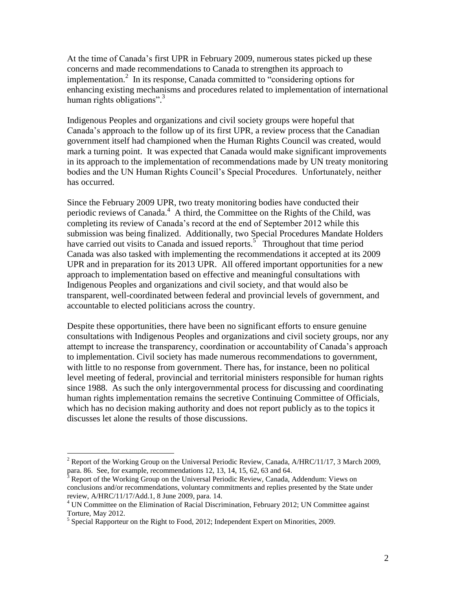At the time of Canada's first UPR in February 2009, numerous states picked up these concerns and made recommendations to Canada to strengthen its approach to implementation.<sup>2</sup> In its response, Canada committed to "considering options for enhancing existing mechanisms and procedures related to implementation of international human rights obligations".<sup>3</sup>

Indigenous Peoples and organizations and civil society groups were hopeful that Canada's approach to the follow up of its first UPR, a review process that the Canadian government itself had championed when the Human Rights Council was created, would mark a turning point. It was expected that Canada would make significant improvements in its approach to the implementation of recommendations made by UN treaty monitoring bodies and the UN Human Rights Council's Special Procedures. Unfortunately, neither has occurred.

Since the February 2009 UPR, two treaty monitoring bodies have conducted their periodic reviews of Canada.<sup>4</sup> A third, the Committee on the Rights of the Child, was completing its review of Canada's record at the end of September 2012 while this submission was being finalized. Additionally, two Special Procedures Mandate Holders have carried out visits to Canada and issued reports.<sup>5</sup> Throughout that time period Canada was also tasked with implementing the recommendations it accepted at its 2009 UPR and in preparation for its 2013 UPR. All offered important opportunities for a new approach to implementation based on effective and meaningful consultations with Indigenous Peoples and organizations and civil society, and that would also be transparent, well-coordinated between federal and provincial levels of government, and accountable to elected politicians across the country.

Despite these opportunities, there have been no significant efforts to ensure genuine consultations with Indigenous Peoples and organizations and civil society groups, nor any attempt to increase the transparency, coordination or accountability of Canada's approach to implementation. Civil society has made numerous recommendations to government, with little to no response from government. There has, for instance, been no political level meeting of federal, provincial and territorial ministers responsible for human rights since 1988. As such the only intergovernmental process for discussing and coordinating human rights implementation remains the secretive Continuing Committee of Officials, which has no decision making authority and does not report publicly as to the topics it discusses let alone the results of those discussions.

 $\overline{a}$ 

<sup>&</sup>lt;sup>2</sup> Report of the Working Group on the Universal Periodic Review, Canada,  $A/HRC/11/17$ , 3 March 2009, para. 86. See, for example, recommendations 12, 13, 14, 15, 62, 63 and 64.

<sup>3</sup> Report of the Working Group on the Universal Periodic Review, Canada, Addendum: Views on conclusions and/or recommendations, voluntary commitments and replies presented by the State under review, A/HRC/11/17/Add.1, 8 June 2009, para. 14.

 $4$  UN Committee on the Elimination of Racial Discrimination, February 2012; UN Committee against Torture, May 2012.

 $<sup>5</sup>$  Special Rapporteur on the Right to Food, 2012; Independent Expert on Minorities, 2009.</sup>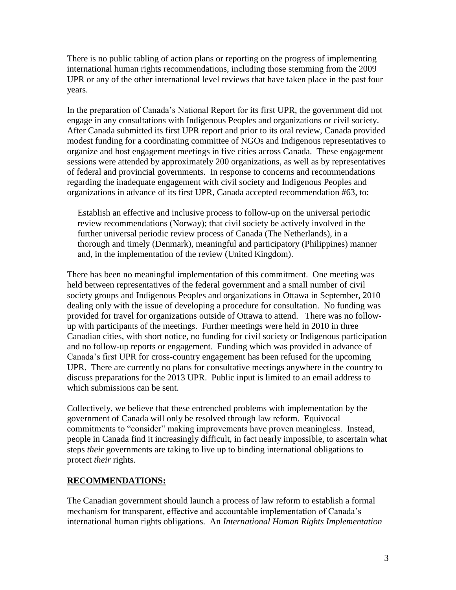There is no public tabling of action plans or reporting on the progress of implementing international human rights recommendations, including those stemming from the 2009 UPR or any of the other international level reviews that have taken place in the past four years.

In the preparation of Canada's National Report for its first UPR, the government did not engage in any consultations with Indigenous Peoples and organizations or civil society. After Canada submitted its first UPR report and prior to its oral review, Canada provided modest funding for a coordinating committee of NGOs and Indigenous representatives to organize and host engagement meetings in five cities across Canada. These engagement sessions were attended by approximately 200 organizations, as well as by representatives of federal and provincial governments. In response to concerns and recommendations regarding the inadequate engagement with civil society and Indigenous Peoples and organizations in advance of its first UPR, Canada accepted recommendation #63, to:

Establish an effective and inclusive process to follow-up on the universal periodic review recommendations (Norway); that civil society be actively involved in the further universal periodic review process of Canada (The Netherlands), in a thorough and timely (Denmark), meaningful and participatory (Philippines) manner and, in the implementation of the review (United Kingdom).

There has been no meaningful implementation of this commitment. One meeting was held between representatives of the federal government and a small number of civil society groups and Indigenous Peoples and organizations in Ottawa in September, 2010 dealing only with the issue of developing a procedure for consultation. No funding was provided for travel for organizations outside of Ottawa to attend. There was no followup with participants of the meetings. Further meetings were held in 2010 in three Canadian cities, with short notice, no funding for civil society or Indigenous participation and no follow-up reports or engagement. Funding which was provided in advance of Canada's first UPR for cross-country engagement has been refused for the upcoming UPR. There are currently no plans for consultative meetings anywhere in the country to discuss preparations for the 2013 UPR. Public input is limited to an email address to which submissions can be sent.

Collectively, we believe that these entrenched problems with implementation by the government of Canada will only be resolved through law reform. Equivocal commitments to "consider" making improvements have proven meaningless. Instead, people in Canada find it increasingly difficult, in fact nearly impossible, to ascertain what steps *their* governments are taking to live up to binding international obligations to protect *their* rights.

### **RECOMMENDATIONS:**

The Canadian government should launch a process of law reform to establish a formal mechanism for transparent, effective and accountable implementation of Canada's international human rights obligations. An *International Human Rights Implementation*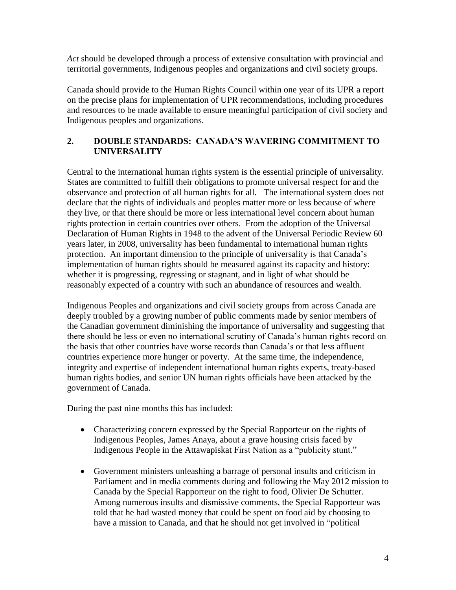*Act* should be developed through a process of extensive consultation with provincial and territorial governments, Indigenous peoples and organizations and civil society groups.

Canada should provide to the Human Rights Council within one year of its UPR a report on the precise plans for implementation of UPR recommendations, including procedures and resources to be made available to ensure meaningful participation of civil society and Indigenous peoples and organizations.

# **2. DOUBLE STANDARDS: CANADA'S WAVERING COMMITMENT TO UNIVERSALITY**

Central to the international human rights system is the essential principle of universality. States are committed to fulfill their obligations to promote universal respect for and the observance and protection of all human rights for all. The international system does not declare that the rights of individuals and peoples matter more or less because of where they live, or that there should be more or less international level concern about human rights protection in certain countries over others. From the adoption of the Universal Declaration of Human Rights in 1948 to the advent of the Universal Periodic Review 60 years later, in 2008, universality has been fundamental to international human rights protection. An important dimension to the principle of universality is that Canada's implementation of human rights should be measured against its capacity and history: whether it is progressing, regressing or stagnant, and in light of what should be reasonably expected of a country with such an abundance of resources and wealth.

Indigenous Peoples and organizations and civil society groups from across Canada are deeply troubled by a growing number of public comments made by senior members of the Canadian government diminishing the importance of universality and suggesting that there should be less or even no international scrutiny of Canada's human rights record on the basis that other countries have worse records than Canada's or that less affluent countries experience more hunger or poverty. At the same time, the independence, integrity and expertise of independent international human rights experts, treaty-based human rights bodies, and senior UN human rights officials have been attacked by the government of Canada.

During the past nine months this has included:

- Characterizing concern expressed by the Special Rapporteur on the rights of Indigenous Peoples, James Anaya, about a grave housing crisis faced by Indigenous People in the Attawapiskat First Nation as a "publicity stunt."
- Government ministers unleashing a barrage of personal insults and criticism in Parliament and in media comments during and following the May 2012 mission to Canada by the Special Rapporteur on the right to food, Olivier De Schutter. Among numerous insults and dismissive comments, the Special Rapporteur was told that he had wasted money that could be spent on food aid by choosing to have a mission to Canada, and that he should not get involved in "political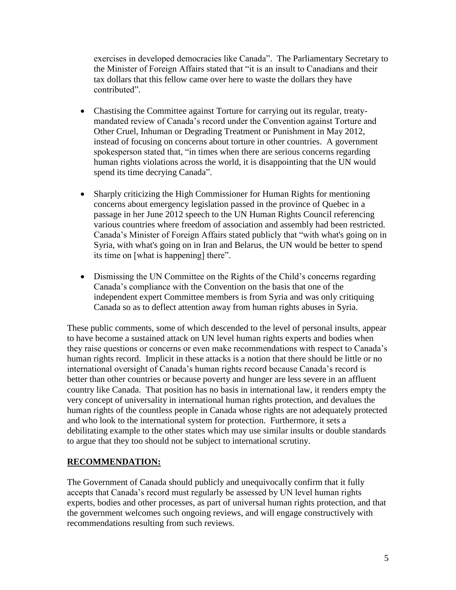exercises in developed democracies like Canada". The Parliamentary Secretary to the Minister of Foreign Affairs stated that "it is an insult to Canadians and their tax dollars that this fellow came over here to waste the dollars they have contributed".

- Chastising the Committee against Torture for carrying out its regular, treatymandated review of Canada's record under the Convention against Torture and Other Cruel, Inhuman or Degrading Treatment or Punishment in May 2012, instead of focusing on concerns about torture in other countries. A government spokesperson stated that, "in times when there are serious concerns regarding human rights violations across the world, it is disappointing that the UN would spend its time decrying Canada".
- Sharply criticizing the High Commissioner for Human Rights for mentioning concerns about emergency legislation passed in the province of Quebec in a passage in her June 2012 speech to the UN Human Rights Council referencing various countries where freedom of association and assembly had been restricted. Canada's Minister of Foreign Affairs stated publicly that "with what's going on in Syria, with what's going on in Iran and Belarus, the UN would be better to spend its time on [what is happening] there".
- Dismissing the UN Committee on the Rights of the Child's concerns regarding Canada's compliance with the Convention on the basis that one of the independent expert Committee members is from Syria and was only critiquing Canada so as to deflect attention away from human rights abuses in Syria.

These public comments, some of which descended to the level of personal insults, appear to have become a sustained attack on UN level human rights experts and bodies when they raise questions or concerns or even make recommendations with respect to Canada's human rights record. Implicit in these attacks is a notion that there should be little or no international oversight of Canada's human rights record because Canada's record is better than other countries or because poverty and hunger are less severe in an affluent country like Canada. That position has no basis in international law, it renders empty the very concept of universality in international human rights protection, and devalues the human rights of the countless people in Canada whose rights are not adequately protected and who look to the international system for protection. Furthermore, it sets a debilitating example to the other states which may use similar insults or double standards to argue that they too should not be subject to international scrutiny.

### **RECOMMENDATION:**

The Government of Canada should publicly and unequivocally confirm that it fully accepts that Canada's record must regularly be assessed by UN level human rights experts, bodies and other processes, as part of universal human rights protection, and that the government welcomes such ongoing reviews, and will engage constructively with recommendations resulting from such reviews.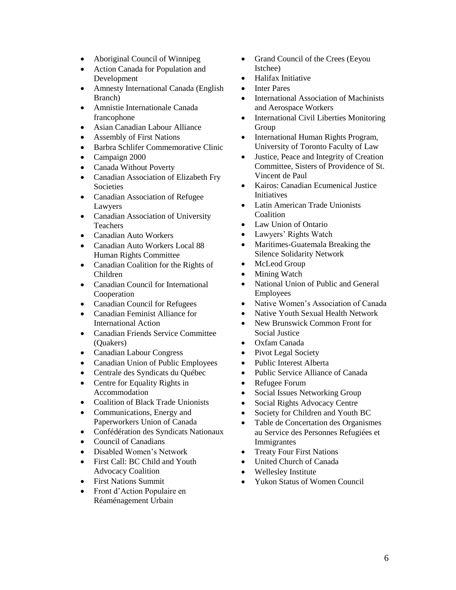- Aboriginal Council of Winnipeg
- Action Canada for Population and Development
- Amnesty International Canada (English Branch)
- Amnistie Internationale Canada francophone
- Asian Canadian Labour Alliance
- Assembly of First Nations
- Barbra Schlifer Commemorative Clinic
- Campaign 2000
- Canada Without Poverty
- Canadian Association of Elizabeth Fry Societies
- Canadian Association of Refugee Lawyers
- Canadian Association of University Teachers
- Canadian Auto Workers
- Canadian Auto Workers Local 88 Human Rights Committee
- Canadian Coalition for the Rights of Children
- Canadian Council for International Cooperation
- Canadian Council for Refugees
- Canadian Feminist Alliance for International Action
- Canadian Friends Service Committee (Quakers)
- Canadian Labour Congress
- Canadian Union of Public Employees
- Centrale des Syndicats du Québec
- Centre for Equality Rights in Accommodation
- Coalition of Black Trade Unionists
- Communications, Energy and Paperworkers Union of Canada
- Confédération des Syndicats Nationaux
- Council of Canadians
- Disabled Women's Network
- First Call: BC Child and Youth Advocacy Coalition
- First Nations Summit
- Front d'Action Populaire en Réaménagement Urbain
- Grand Council of the Crees (Eeyou Istchee)
- Halifax Initiative
- Inter Pares
- International Association of Machinists and Aerospace Workers
- International Civil Liberties Monitoring Group
- International Human Rights Program, University of Toronto Faculty of Law
- Justice, Peace and Integrity of Creation Committee, Sisters of Providence of St. Vincent de Paul
- Kairos: Canadian Ecumenical Justice **Initiatives**
- Latin American Trade Unionists Coalition
- Law Union of Ontario
- Lawyers' Rights Watch
- Maritimes-Guatemala Breaking the Silence Solidarity Network
- McLeod Group
- Mining Watch
- National Union of Public and General Employees
- Native Women's Association of Canada
- Native Youth Sexual Health Network
- New Brunswick Common Front for Social Justice
- Oxfam Canada
- Pivot Legal Society
- Public Interest Alberta
- Public Service Alliance of Canada
- Refugee Forum
- Social Issues Networking Group
- Social Rights Advocacy Centre
- Society for Children and Youth BC
- Table de Concertation des Organismes au Service des Personnes Refugiées et Immigrantes
- Treaty Four First Nations
- United Church of Canada
- Wellesley Institute
- Yukon Status of Women Council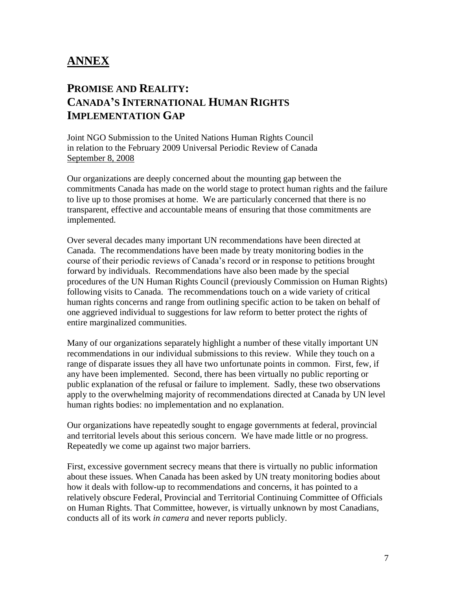# **ANNEX**

# **PROMISE AND REALITY: CANADA'S INTERNATIONAL HUMAN RIGHTS IMPLEMENTATION GAP**

Joint NGO Submission to the United Nations Human Rights Council in relation to the February 2009 Universal Periodic Review of Canada September 8, 2008

Our organizations are deeply concerned about the mounting gap between the commitments Canada has made on the world stage to protect human rights and the failure to live up to those promises at home. We are particularly concerned that there is no transparent, effective and accountable means of ensuring that those commitments are implemented.

Over several decades many important UN recommendations have been directed at Canada. The recommendations have been made by treaty monitoring bodies in the course of their periodic reviews of Canada's record or in response to petitions brought forward by individuals. Recommendations have also been made by the special procedures of the UN Human Rights Council (previously Commission on Human Rights) following visits to Canada. The recommendations touch on a wide variety of critical human rights concerns and range from outlining specific action to be taken on behalf of one aggrieved individual to suggestions for law reform to better protect the rights of entire marginalized communities.

Many of our organizations separately highlight a number of these vitally important UN recommendations in our individual submissions to this review. While they touch on a range of disparate issues they all have two unfortunate points in common. First, few, if any have been implemented. Second, there has been virtually no public reporting or public explanation of the refusal or failure to implement. Sadly, these two observations apply to the overwhelming majority of recommendations directed at Canada by UN level human rights bodies: no implementation and no explanation.

Our organizations have repeatedly sought to engage governments at federal, provincial and territorial levels about this serious concern. We have made little or no progress. Repeatedly we come up against two major barriers.

First, excessive government secrecy means that there is virtually no public information about these issues. When Canada has been asked by UN treaty monitoring bodies about how it deals with follow-up to recommendations and concerns, it has pointed to a relatively obscure Federal, Provincial and Territorial Continuing Committee of Officials on Human Rights. That Committee, however, is virtually unknown by most Canadians, conducts all of its work *in camera* and never reports publicly.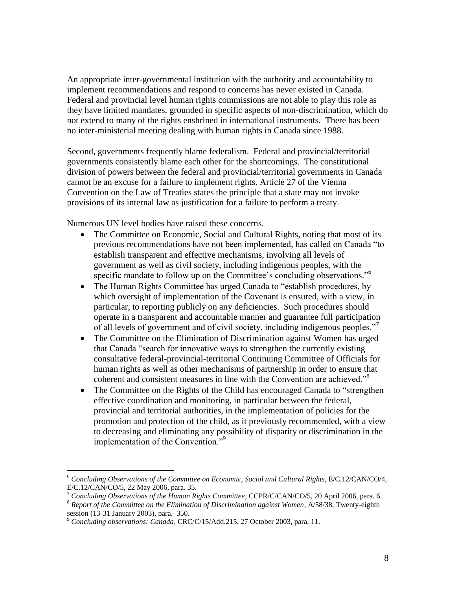An appropriate inter-governmental institution with the authority and accountability to implement recommendations and respond to concerns has never existed in Canada. Federal and provincial level human rights commissions are not able to play this role as they have limited mandates, grounded in specific aspects of non-discrimination, which do not extend to many of the rights enshrined in international instruments. There has been no inter-ministerial meeting dealing with human rights in Canada since 1988.

Second, governments frequently blame federalism. Federal and provincial/territorial governments consistently blame each other for the shortcomings. The constitutional division of powers between the federal and provincial/territorial governments in Canada cannot be an excuse for a failure to implement rights. Article 27 of the Vienna Convention on the Law of Treaties states the principle that a state may not invoke provisions of its internal law as justification for a failure to perform a treaty.

Numerous UN level bodies have raised these concerns.

- The Committee on Economic, Social and Cultural Rights, noting that most of its previous recommendations have not been implemented, has called on Canada "to establish transparent and effective mechanisms, involving all levels of government as well as civil society, including indigenous peoples, with the specific mandate to follow up on the Committee's concluding observations."<sup>6</sup>
- The Human Rights Committee has urged Canada to "establish procedures, by which oversight of implementation of the Covenant is ensured, with a view, in particular, to reporting publicly on any deficiencies. Such procedures should operate in a transparent and accountable manner and guarantee full participation of all levels of government and of civil society, including indigenous peoples."
- The Committee on the Elimination of Discrimination against Women has urged that Canada "search for innovative ways to strengthen the currently existing consultative federal-provincial-territorial Continuing Committee of Officials for human rights as well as other mechanisms of partnership in order to ensure that coherent and consistent measures in line with the Convention are achieved."<sup>8</sup>
- The Committee on the Rights of the Child has encouraged Canada to "strengthen" effective coordination and monitoring, in particular between the federal, provincial and territorial authorities, in the implementation of policies for the promotion and protection of the child, as it previously recommended, with a view to decreasing and eliminating any possibility of disparity or discrimination in the implementation of the Convention."<sup>9</sup>

 $\overline{a}$ 

<sup>6</sup> *Concluding Observations of the Committee on Economic, Social and Cultural Rights*, E/C.12/CAN/CO/4, E/C.12/CAN/CO/5, 22 May 2006, para. 35.

<sup>7</sup> *Concluding Observations of the Human Rights Committee*, CCPR/C/CAN/CO/5, 20 April 2006, para. 6.

<sup>8</sup> *Report of the Committee on the Elimination of Discrimination against Women*, A/58/38, Twenty-eighth session (13-31 January 2003), para. 350.

<sup>9</sup> *Concluding observations: Canada*, CRC/C/15/Add.215, 27 October 2003, para. 11.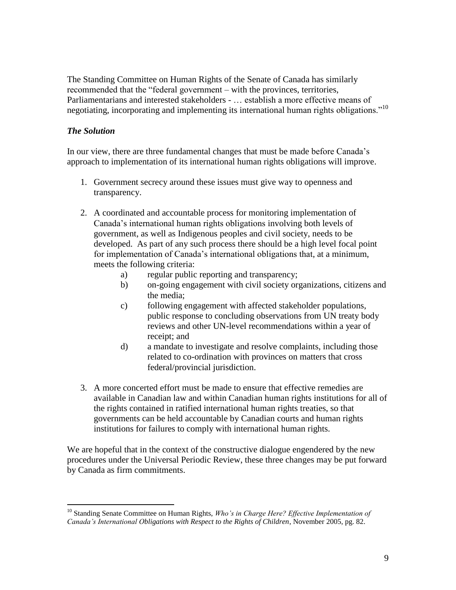The Standing Committee on Human Rights of the Senate of Canada has similarly recommended that the "federal government – with the provinces, territories, Parliamentarians and interested stakeholders - … establish a more effective means of negotiating, incorporating and implementing its international human rights obligations."<sup>10</sup>

## *The Solution*

In our view, there are three fundamental changes that must be made before Canada's approach to implementation of its international human rights obligations will improve.

- 1. Government secrecy around these issues must give way to openness and transparency.
- 2. A coordinated and accountable process for monitoring implementation of Canada's international human rights obligations involving both levels of government, as well as Indigenous peoples and civil society, needs to be developed. As part of any such process there should be a high level focal point for implementation of Canada's international obligations that, at a minimum, meets the following criteria:
	- a) regular public reporting and transparency;
	- b) on-going engagement with civil society organizations, citizens and the media;
	- c) following engagement with affected stakeholder populations, public response to concluding observations from UN treaty body reviews and other UN-level recommendations within a year of receipt; and
	- d) a mandate to investigate and resolve complaints, including those related to co-ordination with provinces on matters that cross federal/provincial jurisdiction.
- 3. A more concerted effort must be made to ensure that effective remedies are available in Canadian law and within Canadian human rights institutions for all of the rights contained in ratified international human rights treaties, so that governments can be held accountable by Canadian courts and human rights institutions for failures to comply with international human rights.

We are hopeful that in the context of the constructive dialogue engendered by the new procedures under the Universal Periodic Review, these three changes may be put forward by Canada as firm commitments.

 $\overline{a}$ <sup>10</sup> Standing Senate Committee on Human Rights, *Who's in Charge Here? Effective Implementation of Canada's International Obligations with Respect to the Rights of Children*, November 2005, pg. 82.